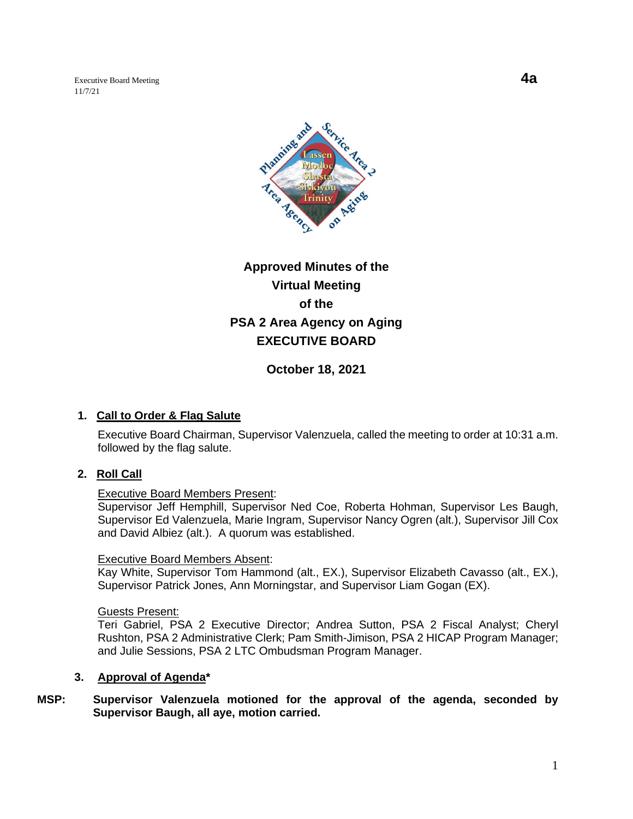Executive Board Meeting **4a** 11/7/21



# **Approved Minutes of the Virtual Meeting of the PSA 2 Area Agency on Aging EXECUTIVE BOARD**

**October 18, 2021**

### **1. Call to Order & Flag Salute**

Executive Board Chairman, Supervisor Valenzuela, called the meeting to order at 10:31 a.m. followed by the flag salute.

### **2. Roll Call**

### Executive Board Members Present:

Supervisor Jeff Hemphill, Supervisor Ned Coe, Roberta Hohman, Supervisor Les Baugh, Supervisor Ed Valenzuela, Marie Ingram, Supervisor Nancy Ogren (alt.), Supervisor Jill Cox and David Albiez (alt.). A quorum was established.

#### Executive Board Members Absent:

Kay White, Supervisor Tom Hammond (alt., EX.), Supervisor Elizabeth Cavasso (alt., EX.), Supervisor Patrick Jones, Ann Morningstar, and Supervisor Liam Gogan (EX).

### Guests Present:

Teri Gabriel, PSA 2 Executive Director; Andrea Sutton, PSA 2 Fiscal Analyst; Cheryl Rushton, PSA 2 Administrative Clerk; Pam Smith-Jimison, PSA 2 HICAP Program Manager; and Julie Sessions, PSA 2 LTC Ombudsman Program Manager.

### **3. Approval of Agenda\***

**MSP: Supervisor Valenzuela motioned for the approval of the agenda, seconded by Supervisor Baugh, all aye, motion carried.**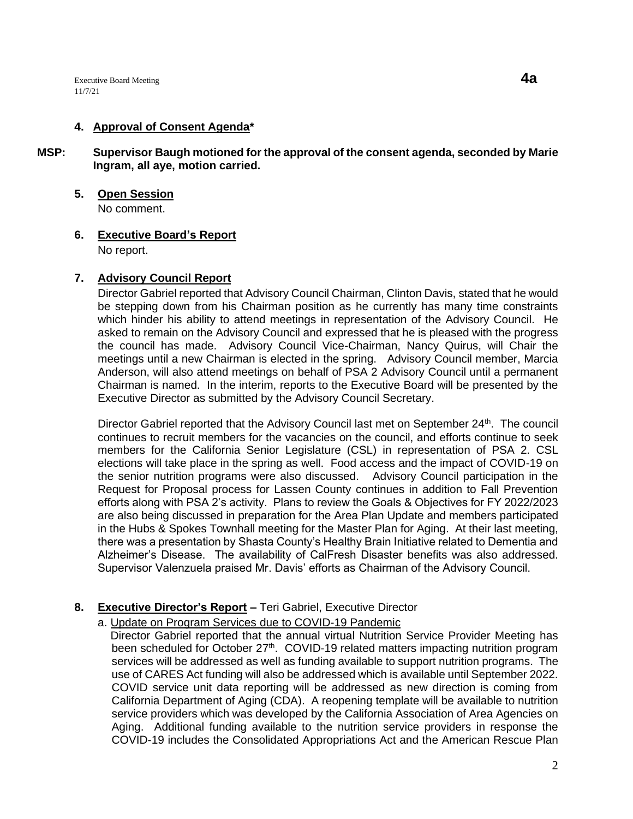### **4. Approval of Consent Agenda\***

- **MSP: Supervisor Baugh motioned for the approval of the consent agenda, seconded by Marie Ingram, all aye, motion carried.** 
	- **5. Open Session** No comment.

**6. Executive Board's Report**

No report.

### **7. Advisory Council Report**

Director Gabriel reported that Advisory Council Chairman, Clinton Davis, stated that he would be stepping down from his Chairman position as he currently has many time constraints which hinder his ability to attend meetings in representation of the Advisory Council. He asked to remain on the Advisory Council and expressed that he is pleased with the progress the council has made. Advisory Council Vice-Chairman, Nancy Quirus, will Chair the meetings until a new Chairman is elected in the spring. Advisory Council member, Marcia Anderson, will also attend meetings on behalf of PSA 2 Advisory Council until a permanent Chairman is named. In the interim, reports to the Executive Board will be presented by the Executive Director as submitted by the Advisory Council Secretary.

Director Gabriel reported that the Advisory Council last met on September 24<sup>th</sup>. The council continues to recruit members for the vacancies on the council, and efforts continue to seek members for the California Senior Legislature (CSL) in representation of PSA 2. CSL elections will take place in the spring as well. Food access and the impact of COVID-19 on the senior nutrition programs were also discussed. Advisory Council participation in the Request for Proposal process for Lassen County continues in addition to Fall Prevention efforts along with PSA 2's activity. Plans to review the Goals & Objectives for FY 2022/2023 are also being discussed in preparation for the Area Plan Update and members participated in the Hubs & Spokes Townhall meeting for the Master Plan for Aging. At their last meeting, there was a presentation by Shasta County's Healthy Brain Initiative related to Dementia and Alzheimer's Disease. The availability of CalFresh Disaster benefits was also addressed. Supervisor Valenzuela praised Mr. Davis' efforts as Chairman of the Advisory Council.

# **8. Executive Director's Report –** Teri Gabriel, Executive Director

# a. Update on Program Services due to COVID-19 Pandemic

 Director Gabriel reported that the annual virtual Nutrition Service Provider Meeting has been scheduled for October 27<sup>th</sup>. COVID-19 related matters impacting nutrition program services will be addressed as well as funding available to support nutrition programs. The use of CARES Act funding will also be addressed which is available until September 2022. COVID service unit data reporting will be addressed as new direction is coming from California Department of Aging (CDA). A reopening template will be available to nutrition service providers which was developed by the California Association of Area Agencies on Aging. Additional funding available to the nutrition service providers in response the COVID-19 includes the Consolidated Appropriations Act and the American Rescue Plan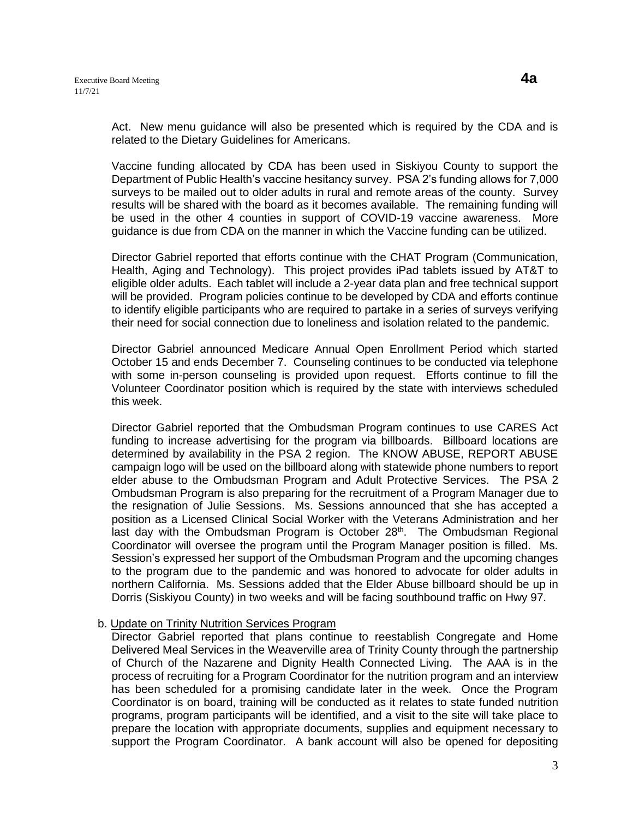Act. New menu guidance will also be presented which is required by the CDA and is related to the Dietary Guidelines for Americans.

Vaccine funding allocated by CDA has been used in Siskiyou County to support the Department of Public Health's vaccine hesitancy survey. PSA 2's funding allows for 7,000 surveys to be mailed out to older adults in rural and remote areas of the county. Survey results will be shared with the board as it becomes available. The remaining funding will be used in the other 4 counties in support of COVID-19 vaccine awareness. More guidance is due from CDA on the manner in which the Vaccine funding can be utilized.

Director Gabriel reported that efforts continue with the CHAT Program (Communication, Health, Aging and Technology). This project provides iPad tablets issued by AT&T to eligible older adults. Each tablet will include a 2-year data plan and free technical support will be provided. Program policies continue to be developed by CDA and efforts continue to identify eligible participants who are required to partake in a series of surveys verifying their need for social connection due to loneliness and isolation related to the pandemic.

Director Gabriel announced Medicare Annual Open Enrollment Period which started October 15 and ends December 7. Counseling continues to be conducted via telephone with some in-person counseling is provided upon request. Efforts continue to fill the Volunteer Coordinator position which is required by the state with interviews scheduled this week.

Director Gabriel reported that the Ombudsman Program continues to use CARES Act funding to increase advertising for the program via billboards. Billboard locations are determined by availability in the PSA 2 region. The KNOW ABUSE, REPORT ABUSE campaign logo will be used on the billboard along with statewide phone numbers to report elder abuse to the Ombudsman Program and Adult Protective Services. The PSA 2 Ombudsman Program is also preparing for the recruitment of a Program Manager due to the resignation of Julie Sessions. Ms. Sessions announced that she has accepted a position as a Licensed Clinical Social Worker with the Veterans Administration and her last day with the Ombudsman Program is October 28<sup>th</sup>. The Ombudsman Regional Coordinator will oversee the program until the Program Manager position is filled. Ms. Session's expressed her support of the Ombudsman Program and the upcoming changes to the program due to the pandemic and was honored to advocate for older adults in northern California. Ms. Sessions added that the Elder Abuse billboard should be up in Dorris (Siskiyou County) in two weeks and will be facing southbound traffic on Hwy 97.

### b. Update on Trinity Nutrition Services Program

Director Gabriel reported that plans continue to reestablish Congregate and Home Delivered Meal Services in the Weaverville area of Trinity County through the partnership of Church of the Nazarene and Dignity Health Connected Living. The AAA is in the process of recruiting for a Program Coordinator for the nutrition program and an interview has been scheduled for a promising candidate later in the week. Once the Program Coordinator is on board, training will be conducted as it relates to state funded nutrition programs, program participants will be identified, and a visit to the site will take place to prepare the location with appropriate documents, supplies and equipment necessary to support the Program Coordinator. A bank account will also be opened for depositing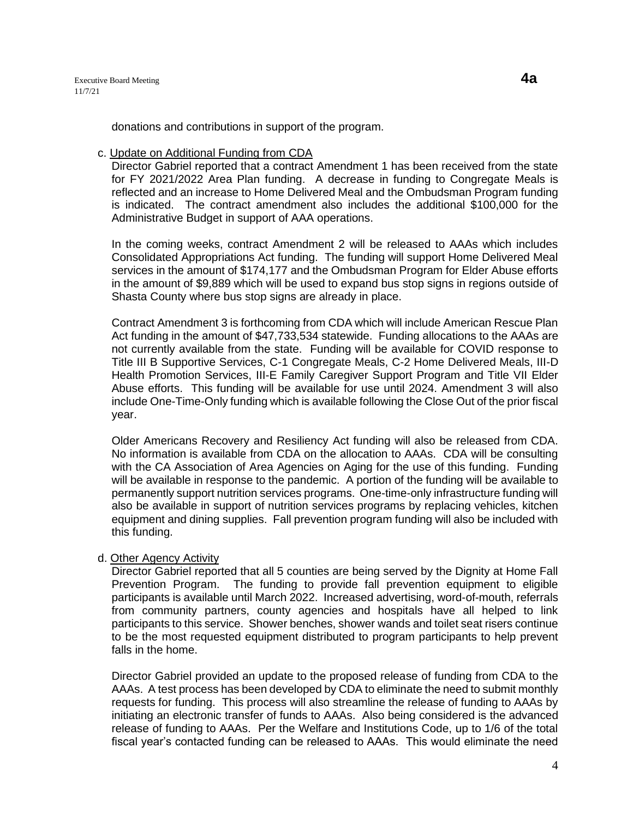donations and contributions in support of the program.

#### c. Update on Additional Funding from CDA

Director Gabriel reported that a contract Amendment 1 has been received from the state for FY 2021/2022 Area Plan funding. A decrease in funding to Congregate Meals is reflected and an increase to Home Delivered Meal and the Ombudsman Program funding is indicated. The contract amendment also includes the additional \$100,000 for the Administrative Budget in support of AAA operations.

In the coming weeks, contract Amendment 2 will be released to AAAs which includes Consolidated Appropriations Act funding. The funding will support Home Delivered Meal services in the amount of \$174,177 and the Ombudsman Program for Elder Abuse efforts in the amount of \$9,889 which will be used to expand bus stop signs in regions outside of Shasta County where bus stop signs are already in place.

Contract Amendment 3 is forthcoming from CDA which will include American Rescue Plan Act funding in the amount of \$47,733,534 statewide. Funding allocations to the AAAs are not currently available from the state. Funding will be available for COVID response to Title III B Supportive Services, C-1 Congregate Meals, C-2 Home Delivered Meals, III-D Health Promotion Services, III-E Family Caregiver Support Program and Title VII Elder Abuse efforts. This funding will be available for use until 2024. Amendment 3 will also include One-Time-Only funding which is available following the Close Out of the prior fiscal year.

Older Americans Recovery and Resiliency Act funding will also be released from CDA. No information is available from CDA on the allocation to AAAs. CDA will be consulting with the CA Association of Area Agencies on Aging for the use of this funding. Funding will be available in response to the pandemic. A portion of the funding will be available to permanently support nutrition services programs. One-time-only infrastructure funding will also be available in support of nutrition services programs by replacing vehicles, kitchen equipment and dining supplies. Fall prevention program funding will also be included with this funding.

### d. Other Agency Activity

Director Gabriel reported that all 5 counties are being served by the Dignity at Home Fall Prevention Program. The funding to provide fall prevention equipment to eligible participants is available until March 2022. Increased advertising, word-of-mouth, referrals from community partners, county agencies and hospitals have all helped to link participants to this service. Shower benches, shower wands and toilet seat risers continue to be the most requested equipment distributed to program participants to help prevent falls in the home.

Director Gabriel provided an update to the proposed release of funding from CDA to the AAAs. A test process has been developed by CDA to eliminate the need to submit monthly requests for funding. This process will also streamline the release of funding to AAAs by initiating an electronic transfer of funds to AAAs. Also being considered is the advanced release of funding to AAAs. Per the Welfare and Institutions Code, up to 1/6 of the total fiscal year's contacted funding can be released to AAAs. This would eliminate the need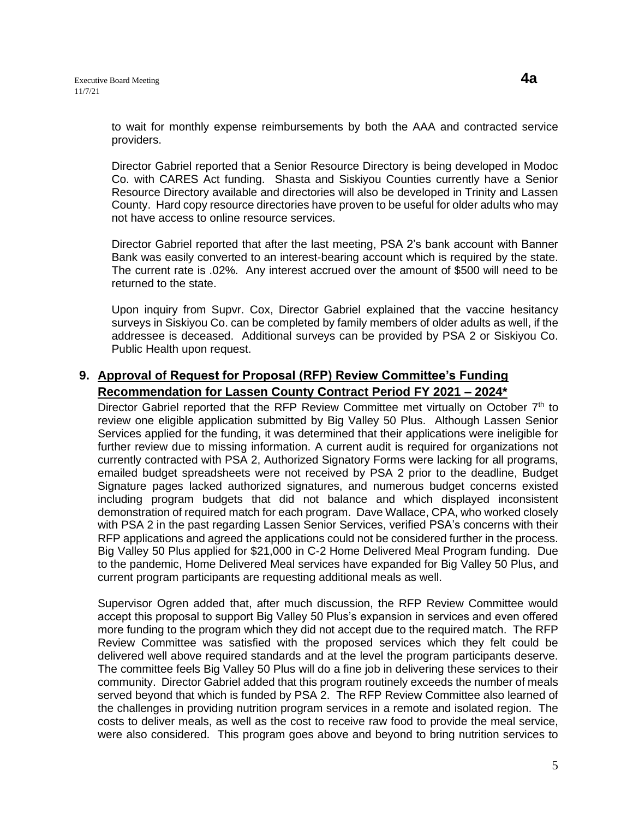to wait for monthly expense reimbursements by both the AAA and contracted service providers.

Director Gabriel reported that a Senior Resource Directory is being developed in Modoc Co. with CARES Act funding. Shasta and Siskiyou Counties currently have a Senior Resource Directory available and directories will also be developed in Trinity and Lassen County. Hard copy resource directories have proven to be useful for older adults who may not have access to online resource services.

Director Gabriel reported that after the last meeting, PSA 2's bank account with Banner Bank was easily converted to an interest-bearing account which is required by the state. The current rate is .02%. Any interest accrued over the amount of \$500 will need to be returned to the state.

Upon inquiry from Supvr. Cox, Director Gabriel explained that the vaccine hesitancy surveys in Siskiyou Co. can be completed by family members of older adults as well, if the addressee is deceased. Additional surveys can be provided by PSA 2 or Siskiyou Co. Public Health upon request.

# **9. Approval of Request for Proposal (RFP) Review Committee's Funding Recommendation for Lassen County Contract Period FY 2021 – 2024\***

Director Gabriel reported that the RFP Review Committee met virtually on October  $7<sup>th</sup>$  to review one eligible application submitted by Big Valley 50 Plus. Although Lassen Senior Services applied for the funding, it was determined that their applications were ineligible for further review due to missing information. A current audit is required for organizations not currently contracted with PSA 2, Authorized Signatory Forms were lacking for all programs, emailed budget spreadsheets were not received by PSA 2 prior to the deadline, Budget Signature pages lacked authorized signatures, and numerous budget concerns existed including program budgets that did not balance and which displayed inconsistent demonstration of required match for each program. Dave Wallace, CPA, who worked closely with PSA 2 in the past regarding Lassen Senior Services, verified PSA's concerns with their RFP applications and agreed the applications could not be considered further in the process. Big Valley 50 Plus applied for \$21,000 in C-2 Home Delivered Meal Program funding. Due to the pandemic, Home Delivered Meal services have expanded for Big Valley 50 Plus, and current program participants are requesting additional meals as well.

Supervisor Ogren added that, after much discussion, the RFP Review Committee would accept this proposal to support Big Valley 50 Plus's expansion in services and even offered more funding to the program which they did not accept due to the required match. The RFP Review Committee was satisfied with the proposed services which they felt could be delivered well above required standards and at the level the program participants deserve. The committee feels Big Valley 50 Plus will do a fine job in delivering these services to their community. Director Gabriel added that this program routinely exceeds the number of meals served beyond that which is funded by PSA 2. The RFP Review Committee also learned of the challenges in providing nutrition program services in a remote and isolated region. The costs to deliver meals, as well as the cost to receive raw food to provide the meal service, were also considered. This program goes above and beyond to bring nutrition services to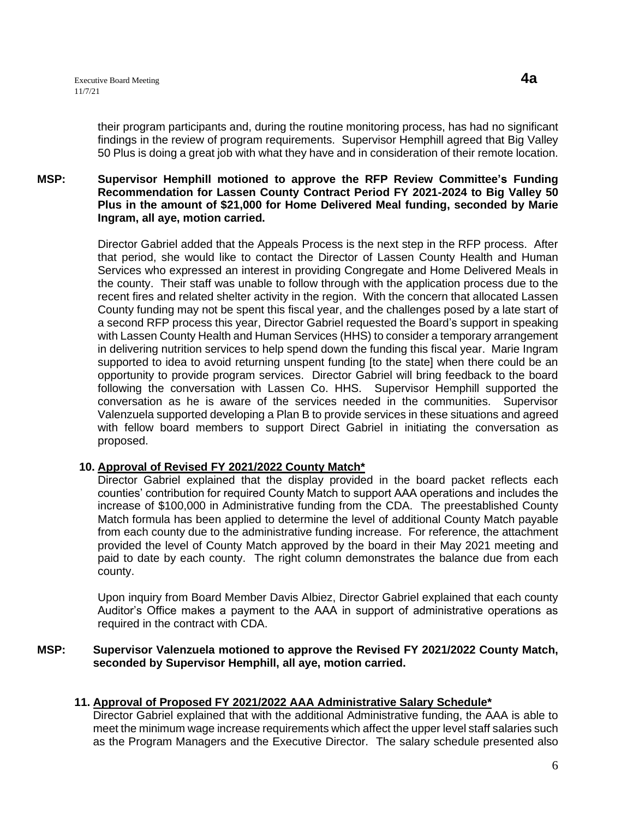their program participants and, during the routine monitoring process, has had no significant findings in the review of program requirements. Supervisor Hemphill agreed that Big Valley 50 Plus is doing a great job with what they have and in consideration of their remote location.

### **MSP: Supervisor Hemphill motioned to approve the RFP Review Committee's Funding Recommendation for Lassen County Contract Period FY 2021-2024 to Big Valley 50 Plus in the amount of \$21,000 for Home Delivered Meal funding, seconded by Marie Ingram, all aye, motion carried.**

Director Gabriel added that the Appeals Process is the next step in the RFP process. After that period, she would like to contact the Director of Lassen County Health and Human Services who expressed an interest in providing Congregate and Home Delivered Meals in the county. Their staff was unable to follow through with the application process due to the recent fires and related shelter activity in the region. With the concern that allocated Lassen County funding may not be spent this fiscal year, and the challenges posed by a late start of a second RFP process this year, Director Gabriel requested the Board's support in speaking with Lassen County Health and Human Services (HHS) to consider a temporary arrangement in delivering nutrition services to help spend down the funding this fiscal year. Marie Ingram supported to idea to avoid returning unspent funding [to the state] when there could be an opportunity to provide program services. Director Gabriel will bring feedback to the board following the conversation with Lassen Co. HHS. Supervisor Hemphill supported the conversation as he is aware of the services needed in the communities. Supervisor Valenzuela supported developing a Plan B to provide services in these situations and agreed with fellow board members to support Direct Gabriel in initiating the conversation as proposed.

### **10. Approval of Revised FY 2021/2022 County Match\***

Director Gabriel explained that the display provided in the board packet reflects each counties' contribution for required County Match to support AAA operations and includes the increase of \$100,000 in Administrative funding from the CDA. The preestablished County Match formula has been applied to determine the level of additional County Match payable from each county due to the administrative funding increase. For reference, the attachment provided the level of County Match approved by the board in their May 2021 meeting and paid to date by each county. The right column demonstrates the balance due from each county.

Upon inquiry from Board Member Davis Albiez, Director Gabriel explained that each county Auditor's Office makes a payment to the AAA in support of administrative operations as required in the contract with CDA.

**MSP: Supervisor Valenzuela motioned to approve the Revised FY 2021/2022 County Match, seconded by Supervisor Hemphill, all aye, motion carried.**

### **11. Approval of Proposed FY 2021/2022 AAA Administrative Salary Schedule\***

Director Gabriel explained that with the additional Administrative funding, the AAA is able to meet the minimum wage increase requirements which affect the upper level staff salaries such as the Program Managers and the Executive Director. The salary schedule presented also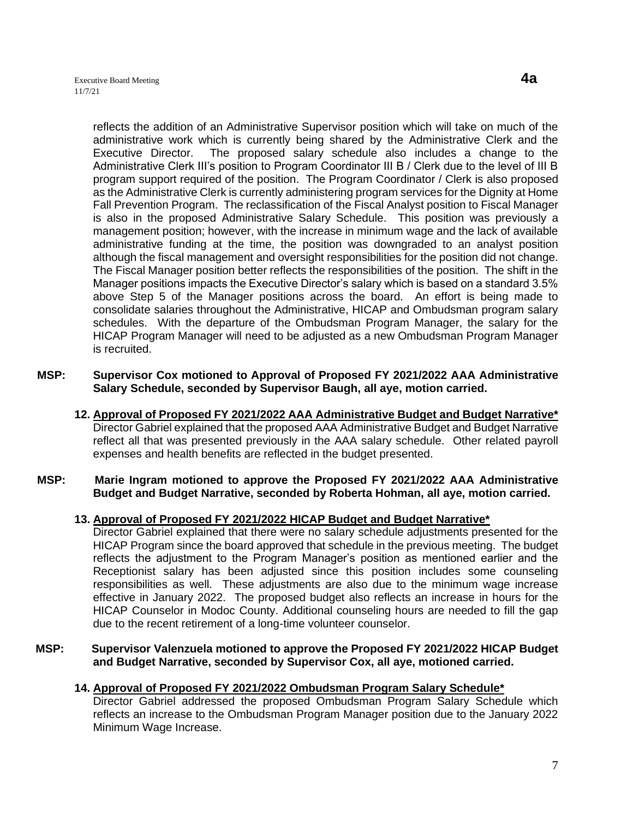is recruited.

reflects the addition of an Administrative Supervisor position which will take on much of the administrative work which is currently being shared by the Administrative Clerk and the Executive Director. The proposed salary schedule also includes a change to the Administrative Clerk III's position to Program Coordinator III B / Clerk due to the level of III B program support required of the position. The Program Coordinator / Clerk is also proposed as the Administrative Clerk is currently administering program services for the Dignity at Home Fall Prevention Program. The reclassification of the Fiscal Analyst position to Fiscal Manager is also in the proposed Administrative Salary Schedule. This position was previously a management position; however, with the increase in minimum wage and the lack of available administrative funding at the time, the position was downgraded to an analyst position although the fiscal management and oversight responsibilities for the position did not change. The Fiscal Manager position better reflects the responsibilities of the position. The shift in the Manager positions impacts the Executive Director's salary which is based on a standard 3.5% above Step 5 of the Manager positions across the board. An effort is being made to consolidate salaries throughout the Administrative, HICAP and Ombudsman program salary schedules. With the departure of the Ombudsman Program Manager, the salary for the HICAP Program Manager will need to be adjusted as a new Ombudsman Program Manager

- **MSP: Supervisor Cox motioned to Approval of Proposed FY 2021/2022 AAA Administrative Salary Schedule, seconded by Supervisor Baugh, all aye, motion carried.** 
	- **12. Approval of Proposed FY 2021/2022 AAA Administrative Budget and Budget Narrative\***  Director Gabriel explained that the proposed AAA Administrative Budget and Budget Narrative reflect all that was presented previously in the AAA salary schedule. Other related payroll expenses and health benefits are reflected in the budget presented.

### **MSP: Marie Ingram motioned to approve the Proposed FY 2021/2022 AAA Administrative Budget and Budget Narrative, seconded by Roberta Hohman, all aye, motion carried.**

### **13. Approval of Proposed FY 2021/2022 HICAP Budget and Budget Narrative\***

Director Gabriel explained that there were no salary schedule adjustments presented for the HICAP Program since the board approved that schedule in the previous meeting. The budget reflects the adjustment to the Program Manager's position as mentioned earlier and the Receptionist salary has been adjusted since this position includes some counseling responsibilities as well. These adjustments are also due to the minimum wage increase effective in January 2022. The proposed budget also reflects an increase in hours for the HICAP Counselor in Modoc County. Additional counseling hours are needed to fill the gap due to the recent retirement of a long-time volunteer counselor.

### **MSP: Supervisor Valenzuela motioned to approve the Proposed FY 2021/2022 HICAP Budget and Budget Narrative, seconded by Supervisor Cox, all aye, motioned carried.**

### **14. Approval of Proposed FY 2021/2022 Ombudsman Program Salary Schedule\***

Director Gabriel addressed the proposed Ombudsman Program Salary Schedule which reflects an increase to the Ombudsman Program Manager position due to the January 2022 Minimum Wage Increase.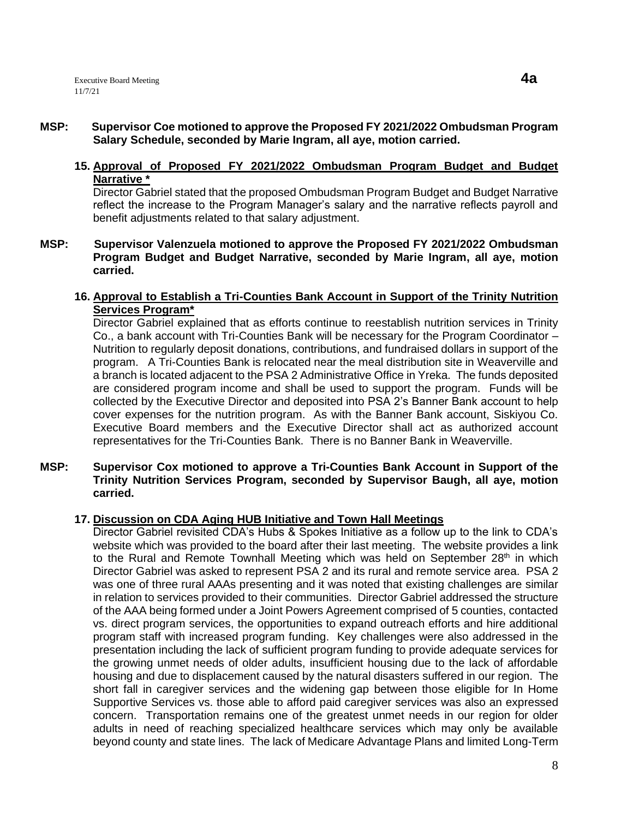### **MSP: Supervisor Coe motioned to approve the Proposed FY 2021/2022 Ombudsman Program Salary Schedule, seconded by Marie Ingram, all aye, motion carried.**

### **15. Approval of Proposed FY 2021/2022 Ombudsman Program Budget and Budget Narrative \***

Director Gabriel stated that the proposed Ombudsman Program Budget and Budget Narrative reflect the increase to the Program Manager's salary and the narrative reflects payroll and benefit adjustments related to that salary adjustment.

**MSP: Supervisor Valenzuela motioned to approve the Proposed FY 2021/2022 Ombudsman Program Budget and Budget Narrative, seconded by Marie Ingram, all aye, motion carried.**

### **16. Approval to Establish a Tri-Counties Bank Account in Support of the Trinity Nutrition Services Program\***

Director Gabriel explained that as efforts continue to reestablish nutrition services in Trinity Co., a bank account with Tri-Counties Bank will be necessary for the Program Coordinator – Nutrition to regularly deposit donations, contributions, and fundraised dollars in support of the program. A Tri-Counties Bank is relocated near the meal distribution site in Weaverville and a branch is located adjacent to the PSA 2 Administrative Office in Yreka. The funds deposited are considered program income and shall be used to support the program. Funds will be collected by the Executive Director and deposited into PSA 2's Banner Bank account to help cover expenses for the nutrition program. As with the Banner Bank account, Siskiyou Co. Executive Board members and the Executive Director shall act as authorized account representatives for the Tri-Counties Bank. There is no Banner Bank in Weaverville.

**MSP: Supervisor Cox motioned to approve a Tri-Counties Bank Account in Support of the Trinity Nutrition Services Program, seconded by Supervisor Baugh, all aye, motion carried.**

### **17. Discussion on CDA Aging HUB Initiative and Town Hall Meetings**

Director Gabriel revisited CDA's Hubs & Spokes Initiative as a follow up to the link to CDA's website which was provided to the board after their last meeting. The website provides a link to the Rural and Remote Townhall Meeting which was held on September  $28<sup>th</sup>$  in which Director Gabriel was asked to represent PSA 2 and its rural and remote service area. PSA 2 was one of three rural AAAs presenting and it was noted that existing challenges are similar in relation to services provided to their communities. Director Gabriel addressed the structure of the AAA being formed under a Joint Powers Agreement comprised of 5 counties, contacted vs. direct program services, the opportunities to expand outreach efforts and hire additional program staff with increased program funding. Key challenges were also addressed in the presentation including the lack of sufficient program funding to provide adequate services for the growing unmet needs of older adults, insufficient housing due to the lack of affordable housing and due to displacement caused by the natural disasters suffered in our region. The short fall in caregiver services and the widening gap between those eligible for In Home Supportive Services vs. those able to afford paid caregiver services was also an expressed concern. Transportation remains one of the greatest unmet needs in our region for older adults in need of reaching specialized healthcare services which may only be available beyond county and state lines. The lack of Medicare Advantage Plans and limited Long-Term